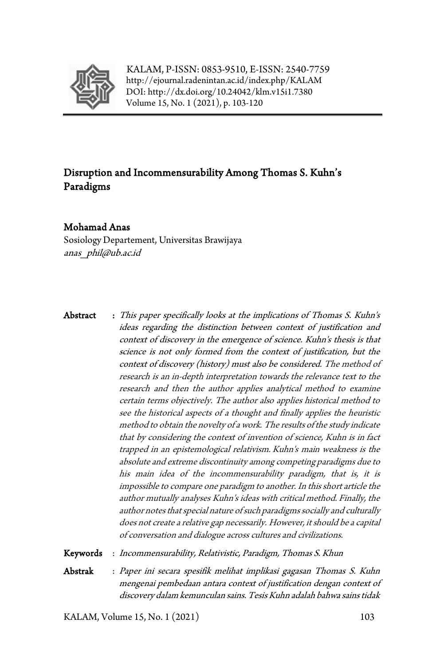

KALAM, P-ISSN: 0853-9510, E-ISSN: 2540-7759 <http://ejournal.radenintan.ac.id/index.php/KALAM> DOI: <http://dx.doi.org/10.24042/klm.v15i1.7380> Volume 15, No. 1 (2021), p. 103-120

# Disruption and Incommensurability Among Thomas S. Kuhn's Paradigms

### Mohamad Anas

Sosiology Departement, Universitas Brawijaya anas\_phil@ub.ac.id

Abstract : This paper specifically looks at the implications of Thomas S. Kuhn's ideas regarding the distinction between context of justification and context of discovery in the emergence of science. Kuhn's thesis is that science is not only formed from the context of justification, but the context of discovery (history) must also be considered. The method of research is an in-depth interpretation towards the relevance text to the research and then the author applies analytical method to examine certain terms objectively. The author also applies historical method to see the historical aspects of a thought and finally applies the heuristic method to obtain the novelty of a work. The results of the study indicate that by considering the context of invention of science, Kuhn is in fact trapped in an epistemological relativism. Kuhn's main weakness is the absolute and extreme discontinuity among competing paradigms due to his main idea of the incommensurability paradigm, that is, it is impossible to compare one paradigm to another. In this short article the author mutually analyses Kuhn's ideas with critical method. Finally, the author notes that special nature of such paradigms socially and culturally does not create a relative gap necessarily. However, it should be a capital of conversation and dialogue across cultures and civilizations.

Keywords : Incommensurability, Relativistic, Paradigm, Thomas S. Khun

Abstrak : Paper ini secara spesifik melihat implikasi gagasan Thomas S. Kuhn mengenai pembedaan antara context of justification dengan context of discovery dalam kemunculan sains. Tesis Kuhn adalah bahwa sains tidak

KALAM, Volume 15, No. 1 (2021) 103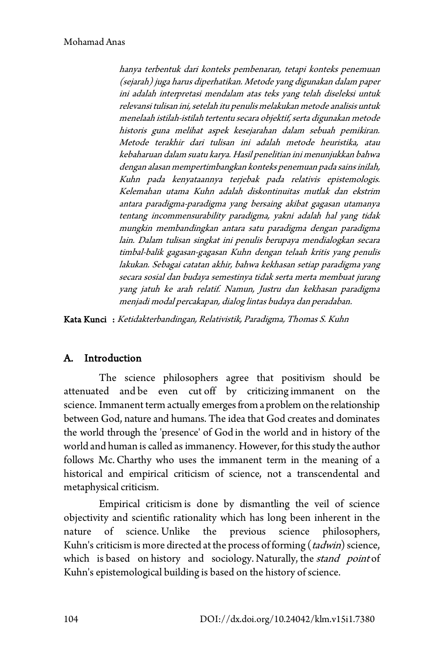hanya terbentuk dari konteks pembenaran, tetapi konteks penemuan (sejarah) juga harus diperhatikan. Metode yang digunakan dalam paper ini adalah interpretasi mendalam atas teks yang telah diseleksi untuk relevansi tulisan ini, setelah itu penulis melakukan metode analisis untuk menelaah istilah-istilah tertentu secara objektif, serta digunakan metode historis guna melihat aspek kesejarahan dalam sebuah pemikiran. Metode terakhir dari tulisan ini adalah metode heuristika, atau kebaharuan dalam suatu karya. Hasil penelitian ini menunjukkan bahwa dengan alasan mempertimbangkan konteks penemuan pada sains inilah, Kuhn pada kenyataannya terjebak pada relativis epistemologis. Kelemahan utama Kuhn adalah diskontinuitas mutlak dan ekstrim antara paradigma-paradigma yang bersaing akibat gagasan utamanya tentang incommensurability paradigma, yakni adalah hal yang tidak mungkin membandingkan antara satu paradigma dengan paradigma lain. Dalam tulisan singkat ini penulis berupaya mendialogkan secara timbal-balik gagasan-gagasan Kuhn dengan telaah kritis yang penulis lakukan. Sebagai catatan akhir, bahwa kekhasan setiap paradigma yang secara sosial dan budaya semestinya tidak serta merta membuat jurang yang jatuh ke arah relatif. Namun, Justru dan kekhasan paradigma menjadi modal percakapan, dialog lintas budaya dan peradaban.

Kata Kunci : Ketidakterbandingan, Relativistik, Paradigma, Thomas S. Kuhn

## A. Introduction

The science philosophers agree that positivism should be attenuated and be even cut off by criticizing immanent on the science. Immanent term actually emerges from a problem on the relationship between God, nature and humans. The idea that God creates and dominates the world through the 'presence' of God in the world and in history of the world and human is called as immanency. However, for this study the author follows Mc. Charthy who uses the immanent term in the meaning of a historical and empirical criticism of science, not a transcendental and metaphysical criticism.

Empirical criticism is done by dismantling the veil of science objectivity and scientific rationality which has long been inherent in the nature of science. Unlike the previous science philosophers, Kuhn's criticism is more directed at the process of forming  $(tadwin)$  science, which is based on history and sociology. Naturally, the *stand point* of Kuhn's epistemological building is based on the history of science.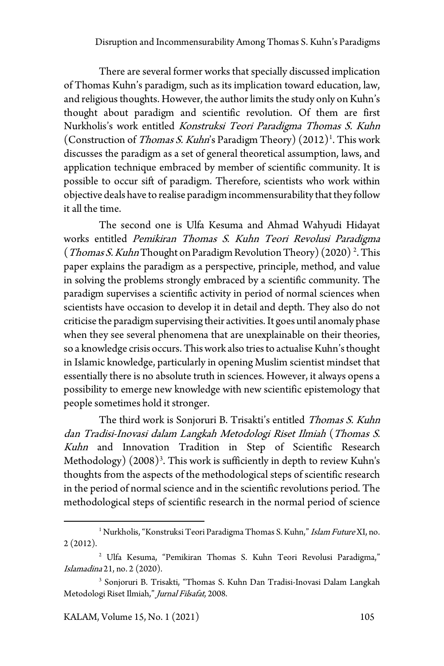There are several former works that specially discussed implication of Thomas Kuhn's paradigm, such as its implication toward education, law, and religious thoughts. However, the author limits the study only on Kuhn's thought about paradigm and scientific revolution. Of them are first Nurkholis's work entitled Konstruksi Teori Paradigma Thomas S. Kuhn (Construction of *Thomas S. Kuhn*'s Paradigm Theory)  $(2012)^{1}$  $(2012)^{1}$  $(2012)^{1}$ . This work discusses the paradigm as a set of general theoretical assumption, laws, and application technique embraced by member of scientific community. It is possible to occur sift of paradigm. Therefore, scientists who work within objective deals have to realise paradigm incommensurability that they follow it all the time.

The second one is Ulfa Kesuma and Ahmad Wahyudi Hidayat works entitled Pemikiran Thomas S. Kuhn Teori Revolusi Paradigma (*Thomas S. Kuhn* Thought on Paradigm Revolution Theory) (2020)<sup>2</sup>. This paper explains the paradigm as a perspective, principle, method, and value in solving the problems strongly embraced by a scientific community. The paradigm supervises a scientific activity in period of normal sciences when scientists have occasion to develop it in detail and depth. They also do not criticise the paradigm supervising their activities. It goes until anomaly phase when they see several phenomena that are unexplainable on their theories, so a knowledge crisis occurs. This work also tries to actualise Kuhn's thought in Islamic knowledge, particularly in opening Muslim scientist mindset that essentially there is no absolute truth in sciences. However, it always opens a possibility to emerge new knowledge with new scientific epistemology that people sometimes hold it stronger.

The third work is Sonjoruri B. Trisakti's entitled Thomas S. Kuhn dan Tradisi-Inovasi dalam Langkah Metodologi Riset Ilmiah (Thomas S. Kuhn and Innovation Tradition in Step of Scientific Research Methodology) (2008)<sup>[3](#page-2-2)</sup>. This work is sufficiently in depth to review Kuhn's thoughts from the aspects of the methodological steps of scientific research in the period of normal science and in the scientific revolutions period. The methodological steps of scientific research in the normal period of science

<span id="page-2-0"></span><sup>&</sup>lt;sup>1</sup> Nurkholis, "Konstruksi Teori Paradigma Thomas S. Kuhn," Islam Future XI, no. 2 (2012).

<span id="page-2-1"></span><sup>2</sup> Ulfa Kesuma, "Pemikiran Thomas S. Kuhn Teori Revolusi Paradigma," Islamadina 21, no. 2 (2020).

<span id="page-2-2"></span><sup>3</sup> Sonjoruri B. Trisakti, "Thomas S. Kuhn Dan Tradisi-Inovasi Dalam Langkah Metodologi Riset Ilmiah," Jurnal Filsafat, 2008.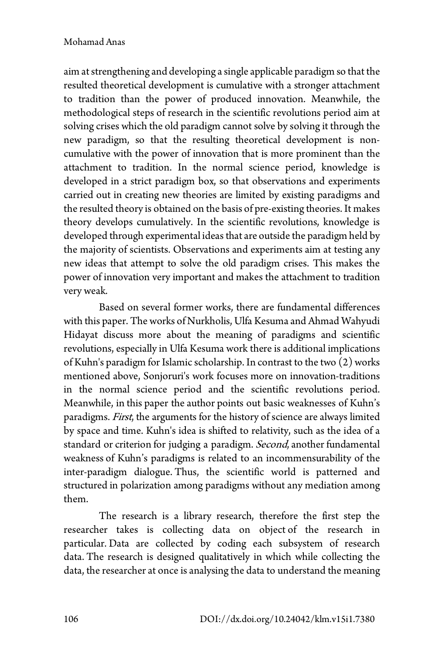aim at strengthening and developing a single applicable paradigm so that the resulted theoretical development is cumulative with a stronger attachment to tradition than the power of produced innovation. Meanwhile, the methodological steps of research in the scientific revolutions period aim at solving crises which the old paradigm cannot solve by solving it through the new paradigm, so that the resulting theoretical development is noncumulative with the power of innovation that is more prominent than the attachment to tradition. In the normal science period, knowledge is developed in a strict paradigm box, so that observations and experiments carried out in creating new theories are limited by existing paradigms and the resulted theory is obtained on the basis of pre-existing theories. It makes theory develops cumulatively. In the scientific revolutions, knowledge is developed through experimental ideas that are outside the paradigm held by the majority of scientists. Observations and experiments aim at testing any new ideas that attempt to solve the old paradigm crises. This makes the power of innovation very important and makes the attachment to tradition very weak.

Based on several former works, there are fundamental differences with this paper. The works of Nurkholis, Ulfa Kesuma and Ahmad Wahyudi Hidayat discuss more about the meaning of paradigms and scientific revolutions, especially in Ulfa Kesuma work there is additional implications of Kuhn's paradigm for Islamic scholarship. In contrast to the two (2) works mentioned above, Sonjoruri's work focuses more on innovation-traditions in the normal science period and the scientific revolutions period. Meanwhile, in this paper the author points out basic weaknesses of Kuhn's paradigms. First, the arguments for the history of science are always limited by space and time. Kuhn's idea is shifted to relativity, such as the idea of a standard or criterion for judging a paradigm. Second, another fundamental weakness of Kuhn's paradigms is related to an incommensurability of the inter-paradigm dialogue. Thus, the scientific world is patterned and structured in polarization among paradigms without any mediation among them.

The research is a library research, therefore the first step the researcher takes is collecting data on object of the research in particular. Data are collected by coding each subsystem of research data. The research is designed qualitatively in which while collecting the data, the researcher at once is analysing the data to understand the meaning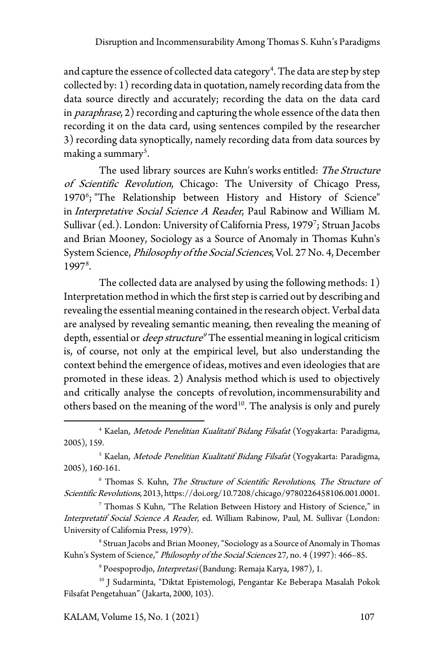and capture the essence of collected data category $\hbox{}^4.$  The data are step by step collected by: 1) recording data in quotation, namely recording data from the data source directly and accurately; recording the data on the data card in *paraphrase*, 2) recording and capturing the whole essence of the data then recording it on the data card, using sentences compiled by the researcher 3) recording data synoptically, namely recording data from data sources by making a summary $^{\mathfrak s}$ .

The used library sources are Kuhn's works entitled: The Structure of Scientific Revolution, Chicago: The University of Chicago Press, 1970<sup>[6](#page-4-2)</sup>; "The Relationship between History and History of Science" in Interpretative Social Science A Reader, Paul Rabinow and William M. Sullivar (ed.). London: University of California Press, 1[97](#page-4-3)9<sup>7</sup>; Struan Jacobs and Brian Mooney, Sociology as a Source of Anomaly in Thomas Kuhn's System Science, *Philosophy of the Social Sciences*, Vol. 27 No. 4, December 1997<sup>[8](#page-4-4)</sup>.

The collected data are analysed by using the following methods: 1) Interpretation method in which the first step is carried out by describing and revealing the essential meaning contained in the research object. Verbal data are analysed by revealing semantic meaning, then revealing the meaning of depth, essential or *deep structure<sup>[9](#page-4-5)</sup>* The essential meaning in logical criticism is, of course, not only at the empirical level, but also understanding the context behind the emergence of ideas, motives and even ideologies that are promoted in these ideas. 2) Analysis method which is used to objectively and critically analyse the concepts of revolution, incommensurability and others based on the meaning of the word<sup>[10](#page-4-6)</sup>. The analysis is only and purely

<span id="page-4-3"></span><sup>7</sup> Thomas S Kuhn, "The Relation Between History and History of Science," in Interpretatif Social Science A Reader, ed. William Rabinow, Paul, M. Sullivar (London: University of California Press, 1979).

<span id="page-4-4"></span><sup>8</sup> Struan Jacobs and Brian Mooney, "Sociology as a Source of Anomaly in Thomas Kuhn's System of Science," Philosophy of the Social Sciences 27, no. 4 (1997): 466-85.

<sup>9</sup> Poespoprodjo, *Interpretasi* (Bandung: Remaja Karya, 1987), 1.

KALAM, Volume 15, No. 1 (2021) 107

<span id="page-4-0"></span><sup>&</sup>lt;sup>4</sup> Kaelan, Metode Penelitian Kualitatif Bidang Filsafat (Yogyakarta: Paradigma, 2005), 159.

<span id="page-4-1"></span><sup>&</sup>lt;sup>5</sup> Kaelan, Metode Penelitian Kualitatif Bidang Filsafat (Yogyakarta: Paradigma, 2005), 160-161.

<span id="page-4-2"></span> $6$  Thomas S. Kuhn, The Structure of Scientific Revolutions, The Structure of Scientific Revolutions, 2013, https://doi.org/10.7208/chicago/9780226458106.001.0001.

<span id="page-4-6"></span><span id="page-4-5"></span><sup>&</sup>lt;sup>10</sup> J Sudarminta, "Diktat Epistemologi, Pengantar Ke Beberapa Masalah Pokok Filsafat Pengetahuan" (Jakarta, 2000, 103).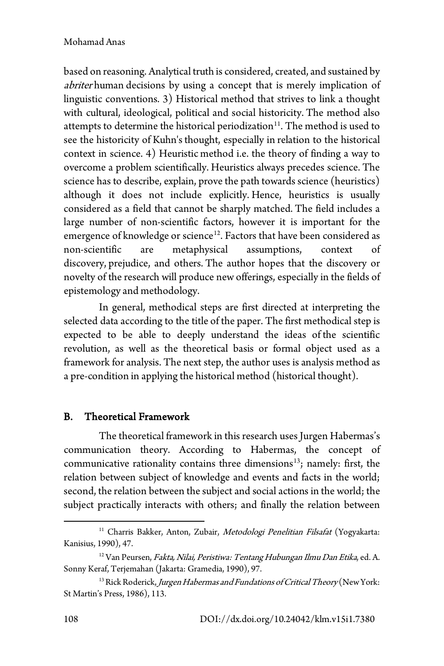based on reasoning. Analytical truth is considered, created, and sustained by abriter human decisions by using a concept that is merely implication of linguistic conventions. 3) Historical method that strives to link a thought with cultural, ideological, political and social historicity. The method also attempts to determine the historical periodization<sup>[11](#page-5-0)</sup>. The method is used to see the historicity of Kuhn's thought, especially in relation to the historical context in science. 4) Heuristic method i.e. the theory of finding a way to overcome a problem scientifically. Heuristics always precedes science. The science has to describe, explain, prove the path towards science (heuristics) although it does not include explicitly. Hence, heuristics is usually considered as a field that cannot be sharply matched. The field includes a large number of non-scientific factors, however it is important for the emergence of knowledge or science<sup>[12](#page-5-1)</sup>. Factors that have been considered as non-scientific are metaphysical assumptions, context of discovery, prejudice, and others. The author hopes that the discovery or novelty of the research will produce new offerings, especially in the fields of epistemology and methodology.

In general, methodical steps are first directed at interpreting the selected data according to the title of the paper. The first methodical step is expected to be able to deeply understand the ideas of the scientific revolution, as well as the theoretical basis or formal object used as a framework for analysis. The next step, the author uses is analysis method as a pre-condition in applying the historical method (historical thought).

# B. Theoretical Framework

The theoretical framework in this research uses Jurgen Habermas's communication theory. According to Habermas, the concept of communicative rationality contains three dimensions<sup>[13](#page-5-2)</sup>; namely: first, the relation between subject of knowledge and events and facts in the world; second, the relation between the subject and social actions in the world; the subject practically interacts with others; and finally the relation between

<span id="page-5-0"></span><sup>&</sup>lt;sup>11</sup> Charris Bakker, Anton, Zubair, *Metodologi Penelitian Filsafat* (Yogyakarta: Kanisius, 1990), 47.

<span id="page-5-1"></span><sup>&</sup>lt;sup>12</sup> Van Peursen, Fakta, Nilai, Peristiwa: Tentang Hubungan Ilmu Dan Etika, ed. A. Sonny Keraf, Terjemahan (Jakarta: Gramedia, 1990), 97.

<span id="page-5-2"></span><sup>&</sup>lt;sup>13</sup> Rick Roderick, Jurgen Habermas and Fundations of Critical Theory (New York: St Martin's Press, 1986), 113.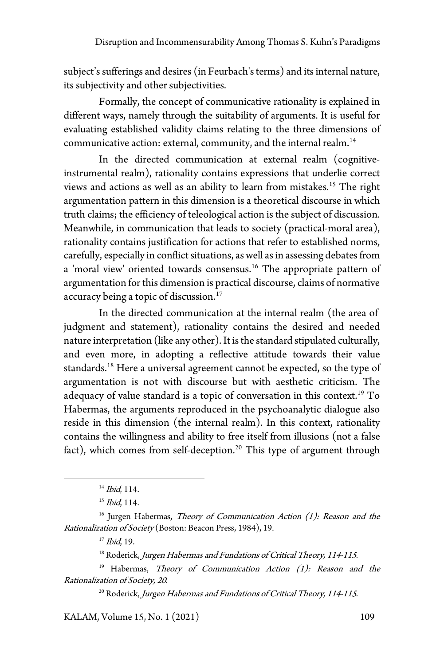subject's sufferings and desires (in Feurbach's terms) and its internal nature, its subjectivity and other subjectivities.

Formally, the concept of communicative rationality is explained in different ways, namely through the suitability of arguments. It is useful for evaluating established validity claims relating to the three dimensions of communicative action: external, community, and the internal realm.<sup>14</sup>

In the directed communication at external realm (cognitiveinstrumental realm), rationality contains expressions that underlie correct views and actions as well as an ability to learn from mistakes.<sup>[15](#page-6-1)</sup> The right argumentation pattern in this dimension is a theoretical discourse in which truth claims; the efficiency of teleological action is the subject of discussion. Meanwhile, in communication that leads to society (practical-moral area), rationality contains justification for actions that refer to established norms, carefully, especially in conflict situations, as well as in assessing debates from a 'moral view' oriented towards consensus.[16](#page-6-2) The appropriate pattern of argumentation for this dimension is practical discourse, claims of normative accuracy being a topic of discussion.<sup>[17](#page-6-3)</sup>

In the directed communication at the internal realm (the area of judgment and statement), rationality contains the desired and needed nature interpretation (like any other). It is the standard stipulated culturally, and even more, in adopting a reflective attitude towards their value standards.<sup>[18](#page-6-4)</sup> Here a universal agreement cannot be expected, so the type of argumentation is not with discourse but with aesthetic criticism. The adequacy of value standard is a topic of conversation in this context.<sup>[19](#page-6-5)</sup> To Habermas, the arguments reproduced in the psychoanalytic dialogue also reside in this dimension (the internal realm). In this context, rationality contains the willingness and ability to free itself from illusions (not a false fact), which comes from self-deception.<sup>[20](#page-6-6)</sup> This type of argument through

<span id="page-6-6"></span>KALAM, Volume 15, No. 1 (2021) 109

<sup>&</sup>lt;sup>14</sup> Ibid, 114.

 $15$  *Ibid*, 114.

<span id="page-6-3"></span><span id="page-6-2"></span><span id="page-6-1"></span><span id="page-6-0"></span> $16$  Jurgen Habermas, Theory of Communication Action (1): Reason and the Rationalization of Society (Boston: Beacon Press, 1984), 19.

 $17$  Ibid, 19.

<sup>&</sup>lt;sup>18</sup> Roderick, Jurgen Habermas and Fundations of Critical Theory, 114-115.

<span id="page-6-5"></span><span id="page-6-4"></span><sup>&</sup>lt;sup>19</sup> Habermas, *Theory of Communication Action (1): Reason and the* Rationalization of Society, 20.

<sup>&</sup>lt;sup>20</sup> Roderick, Jurgen Habermas and Fundations of Critical Theory, 114-115.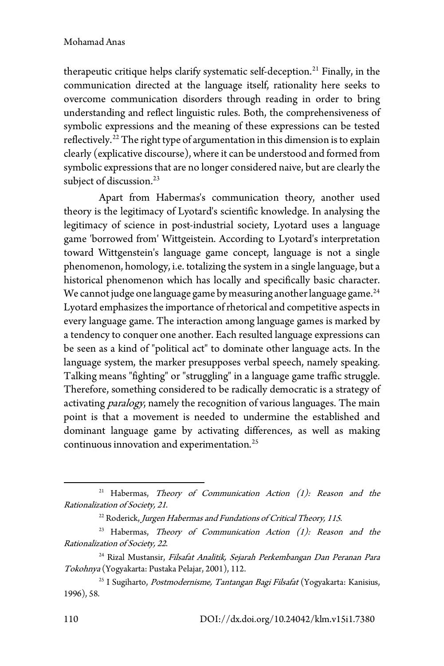#### Mohamad Anas

therapeutic critique helps clarify systematic self-deception.<sup>[21](#page-7-0)</sup> Finally, in the communication directed at the language itself, rationality here seeks to overcome communication disorders through reading in order to bring understanding and reflect linguistic rules. Both, the comprehensiveness of symbolic expressions and the meaning of these expressions can be tested reflectively.<sup>[22](#page-7-1)</sup> The right type of argumentation in this dimension is to explain clearly (explicative discourse), where it can be understood and formed from symbolic expressions that are no longer considered naive, but are clearly the subject of discussion.<sup>[23](#page-7-2)</sup>

Apart from Habermas's communication theory, another used theory is the legitimacy of Lyotard's scientific knowledge. In analysing the legitimacy of science in post-industrial society, Lyotard uses a language game 'borrowed from' Wittgeistein. According to Lyotard's interpretation toward Wittgenstein's language game concept, language is not a single phenomenon, homology, i.e. totalizing the system in a single language, but a historical phenomenon which has locally and specifically basic character. We cannot judge one language game by measuring another language game.<sup>[24](#page-7-3)</sup> Lyotard emphasizes the importance of rhetorical and competitive aspects in every language game. The interaction among language games is marked by a tendency to conquer one another. Each resulted language expressions can be seen as a kind of "political act" to dominate other language acts. In the language system, the marker presupposes verbal speech, namely speaking. Talking means "fighting" or "struggling" in a language game traffic struggle. Therefore, something considered to be radically democratic is a strategy of activating paralogy, namely the recognition of various languages. The main point is that a movement is needed to undermine the established and dominant language game by activating differences, as well as making continuous innovation and experimentation.<sup>[25](#page-7-4)</sup>

<span id="page-7-0"></span><sup>&</sup>lt;sup>21</sup> Habermas, *Theory of Communication Action (1): Reason and the* Rationalization of Society, 21.

 $^{22}$  Roderick, Jurgen Habermas and Fundations of Critical Theory, 115.

<span id="page-7-2"></span><span id="page-7-1"></span><sup>&</sup>lt;sup>23</sup> Habermas, *Theory of Communication Action (1): Reason and the* Rationalization of Society, 22.

<span id="page-7-3"></span><sup>&</sup>lt;sup>24</sup> Rizal Mustansir, Filsafat Analitik, Sejarah Perkembangan Dan Peranan Para Tokohnya (Yogyakarta: Pustaka Pelajar, 2001), 112.

<span id="page-7-4"></span><sup>&</sup>lt;sup>25</sup> I Sugiharto, Postmodernisme, Tantangan Bagi Filsafat (Yogyakarta: Kanisius, 1996), 58.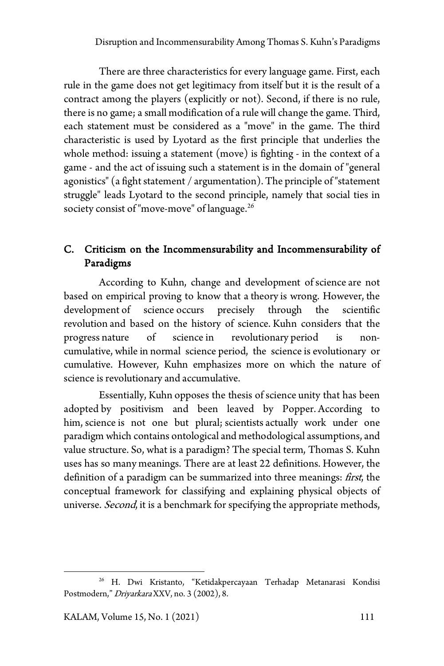There are three characteristics for every language game. First, each rule in the game does not get legitimacy from itself but it is the result of a contract among the players (explicitly or not). Second, if there is no rule, there is no game; a small modification of a rule will change the game. Third, each statement must be considered as a "move" in the game. The third characteristic is used by Lyotard as the first principle that underlies the whole method: issuing a statement (move) is fighting - in the context of a game - and the act of issuing such a statement is in the domain of "general agonistics" (a fight statement / argumentation). The principle of "statement struggle" leads Lyotard to the second principle, namely that social ties in society consist of "move-move" of language.<sup>[26](#page-8-0)</sup>

# C. Criticism on the Incommensurability and Incommensurability of Paradigms

According to Kuhn, change and development of science are not based on empirical proving to know that a theory is wrong. However, the development of science occurs precisely through the scientific revolution and based on the history of science. Kuhn considers that the progress nature of science in revolutionary period is noncumulative, while in normal science period, the science is evolutionary or cumulative. However, Kuhn emphasizes more on which the nature of science is revolutionary and accumulative.

Essentially, Kuhn opposes the thesis of science unity that has been adopted by positivism and been leaved by Popper. According to him, science is not one but plural; scientists actually work under one paradigm which contains ontological and methodological assumptions, and value structure. So, what is a paradigm? The special term, Thomas S. Kuhn uses has so many meanings. There are at least 22 definitions. However, the definition of a paradigm can be summarized into three meanings: *first*, the conceptual framework for classifying and explaining physical objects of universe. Second, it is a benchmark for specifying the appropriate methods,

<span id="page-8-0"></span><sup>26</sup> H. Dwi Kristanto, "Ketidakpercayaan Terhadap Metanarasi Kondisi Postmodern," DriyarkaraXXV, no. 3 (2002), 8.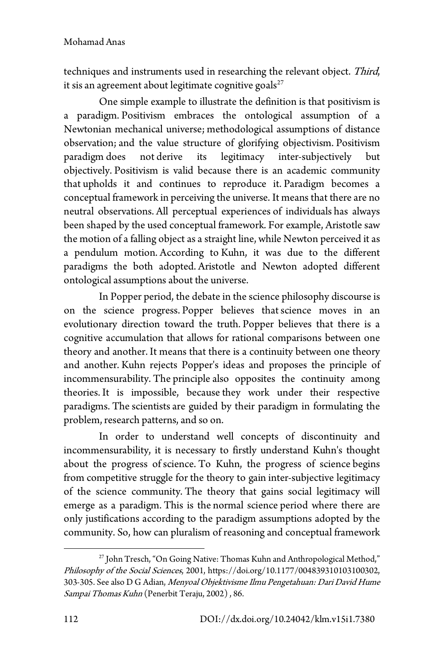techniques and instruments used in researching the relevant object. Third, it sis an agreement about legitimate cognitive goals $27$ 

One simple example to illustrate the definition is that positivism is a paradigm. Positivism embraces the ontological assumption of a Newtonian mechanical universe; methodological assumptions of distance observation; and the value structure of glorifying objectivism. Positivism paradigm does not derive its legitimacy inter-subjectively but objectively. Positivism is valid because there is an academic community that upholds it and continues to reproduce it. Paradigm becomes a conceptual framework in perceiving the universe. It means that there are no neutral observations. All perceptual experiences of individuals has always been shaped by the used conceptual framework. For example, Aristotle saw the motion of a falling object as a straight line, while Newton perceived it as a pendulum motion. According to Kuhn, it was due to the different paradigms the both adopted. Aristotle and Newton adopted different ontological assumptions about the universe.

In Popper period, the debate in the science philosophy discourse is on the science progress. Popper believes thatscience moves in an evolutionary direction toward the truth. Popper believes that there is a cognitive accumulation that allows for rational comparisons between one theory and another. It means that there is a continuity between one theory and another. Kuhn rejects Popper's ideas and proposes the principle of incommensurability. The principle also opposites the continuity among theories. It is impossible, because they work under their respective paradigms. The scientists are guided by their paradigm in formulating the problem, research patterns, and so on.

In order to understand well concepts of discontinuity and incommensurability, it is necessary to firstly understand Kuhn's thought about the progress of science. To Kuhn, the progress of science begins from competitive struggle for the theory to gain inter-subjective legitimacy of the science community. The theory that gains social legitimacy will emerge as a paradigm. This is the normal science period where there are only justifications according to the paradigm assumptions adopted by the community. So, how can pluralism of reasoning and conceptual framework

<span id="page-9-0"></span><sup>&</sup>lt;sup>27</sup> John Tresch, "On Going Native: Thomas Kuhn and Anthropological Method," Philosophy of the Social Sciences, 2001, https://doi.org/10.1177/004839310103100302, 303-305. See also D G Adian, Menyoal Objektivisme Ilmu Pengetahuan: Dari David Hume Sampai Thomas Kuhn (Penerbit Teraju, 2002) , 86.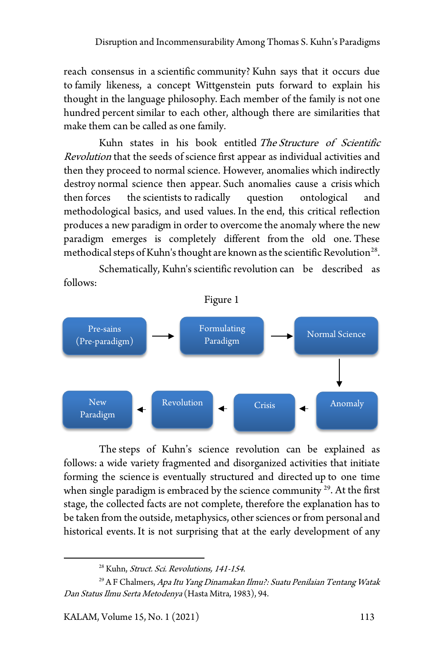reach consensus in a scientific community? Kuhn says that it occurs due to family likeness, a concept Wittgenstein puts forward to explain his thought in the language philosophy. Each member of the family is not one hundred percent similar to each other, although there are similarities that make them can be called as one family.

Kuhn states in his book entitled The Structure of Scientific Revolution that the seeds of science first appear as individual activities and then they proceed to normal science. However, anomalies which indirectly destroy normal science then appear. Such anomalies cause a crisis which then forces the scientists to radically question ontological and methodological basics, and used values. In the end, this critical reflection produces a new paradigm in order to overcome the anomaly where the new paradigm emerges is completely different from the old one. These methodical steps of Kuhn's thought are known as the scientific Revolution<sup>[28](#page-10-0)</sup>.

Schematically, Kuhn's scientific revolution can be described as follows:



The steps of Kuhn's science revolution can be explained as follows: a wide variety fragmented and disorganized activities that initiate forming the science is eventually structured and directed up to one time when single paradigm is embraced by the science community  $29$ . At the first stage, the collected facts are not complete, therefore the explanation has to be taken from the outside, metaphysics, other sciences or from personal and historical events. It is not surprising that at the early development of any

<sup>&</sup>lt;sup>28</sup> Kuhn, Struct. Sci. Revolutions, 141-154.

<span id="page-10-1"></span><span id="page-10-0"></span><sup>&</sup>lt;sup>29</sup> A F Chalmers, *Apa Itu Yang Dinamakan Ilmu?: Suatu Penilaian Tentang Watak* Dan Status Ilmu Serta Metodenya (Hasta Mitra, 1983), 94.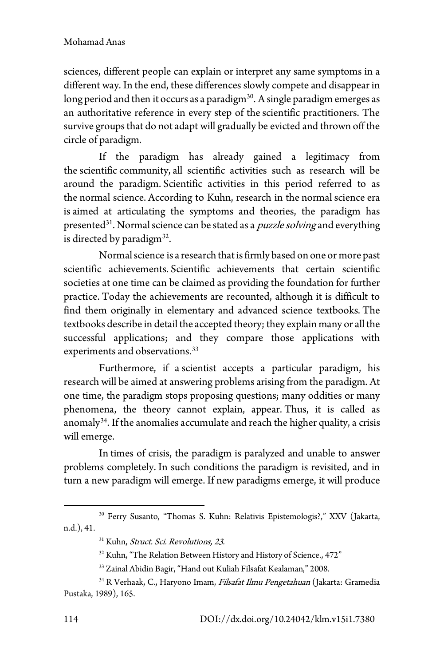sciences, different people can explain or interpret any same symptoms in a different way. In the end, these differences slowly compete and disappear in long period and then it occurs as a paradigm $30$ . A single paradigm emerges as an authoritative reference in every step of the scientific practitioners. The survive groups that do not adapt will gradually be evicted and thrown off the circle of paradigm.

If the paradigm has already gained a legitimacy from the scientific community, all scientific activities such as research will be around the paradigm. Scientific activities in this period referred to as the normal science. According to Kuhn, research in the normal science era is aimed at articulating the symptoms and theories, the paradigm has presented<sup>[31](#page-11-1)</sup>. Normal science can be stated as a *puzzle solving* and everything is directed by paradigm $32$ .

Normal science is a research that is firmly based on one or more past scientific achievements. Scientific achievements that certain scientific societies at one time can be claimed as providing the foundation for further practice. Today the achievements are recounted, although it is difficult to find them originally in elementary and advanced science textbooks. The textbooks describe in detail the accepted theory; they explain many or all the successful applications; and they compare those applications with experiments and observations.<sup>[33](#page-11-3)</sup>

Furthermore, if a scientist accepts a particular paradigm, his research will be aimed at answering problems arising from the paradigm. At one time, the paradigm stops proposing questions; many oddities or many phenomena, the theory cannot explain, appear. Thus, it is called as anomaly<sup>34</sup>. If the anomalies accumulate and reach the higher quality, a crisis will emerge.

In times of crisis, the paradigm is paralyzed and unable to answer problems completely. In such conditions the paradigm is revisited, and in turn a new paradigm will emerge. If new paradigms emerge, it will produce

<span id="page-11-1"></span><span id="page-11-0"></span><sup>30</sup> Ferry Susanto, "Thomas S. Kuhn: Relativis Epistemologis?," XXV (Jakarta, n.d.), 41.

<sup>&</sup>lt;sup>31</sup> Kuhn, *Struct. Sci. Revolutions*, 23.

<sup>&</sup>lt;sup>32</sup> Kuhn, "The Relation Between History and History of Science., 472"

<sup>33</sup> Zainal Abidin Bagir, "Hand out Kuliah Filsafat Kealaman," 2008.

<span id="page-11-4"></span><span id="page-11-3"></span><span id="page-11-2"></span><sup>&</sup>lt;sup>34</sup> R Verhaak, C., Haryono Imam, Filsafat Ilmu Pengetahuan (Jakarta: Gramedia Pustaka, 1989), 165.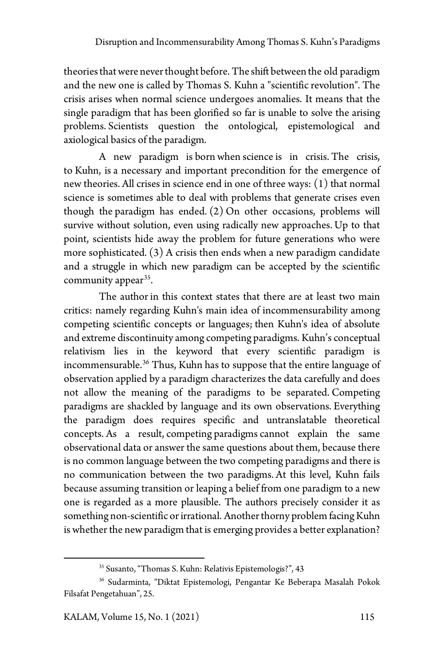theories that were never thought before. The shift between the old paradigm and the new one is called by Thomas S. Kuhn a "scientific revolution". The crisis arises when normal science undergoes anomalies. It means that the single paradigm that has been glorified so far is unable to solve the arising problems. Scientists question the ontological, epistemological and axiological basics of the paradigm.

A new paradigm is born when science is in crisis. The crisis, to Kuhn, is a necessary and important precondition for the emergence of new theories. All crises in science end in one of three ways: (1) that normal science is sometimes able to deal with problems that generate crises even though the paradigm has ended. (2) On other occasions, problems will survive without solution, even using radically new approaches. Up to that point, scientists hide away the problem for future generations who were more sophisticated. (3) A crisis then ends when a new paradigm candidate and a struggle in which new paradigm can be accepted by the scientific community appear<sup>[35](#page-12-0)</sup>.

The author in this context states that there are at least two main critics: namely regarding Kuhn's main idea of incommensurability among competing scientific concepts or languages; then Kuhn's idea of absolute and extreme discontinuity among competing paradigms. Kuhn's conceptual relativism lies in the keyword that every scientific paradigm is incommensurable.<sup>[36](#page-12-1)</sup> Thus, Kuhn has to suppose that the entire language of observation applied by a paradigm characterizes the data carefully and does not allow the meaning of the paradigms to be separated. Competing paradigms are shackled by language and its own observations. Everything the paradigm does requires specific and untranslatable theoretical concepts. As a result, competing paradigms cannot explain the same observational data or answer the same questions about them, because there is no common language between the two competing paradigms and there is no communication between the two paradigms. At this level, Kuhn fails because assuming transition or leaping a belief from one paradigm to a new one is regarded as a more plausible. The authors precisely consider it as something non-scientific or irrational. Another thorny problem facing Kuhn is whether the new paradigm that is emerging provides a better explanation?

<sup>35</sup> Susanto, "Thomas S. Kuhn: Relativis Epistemologis?", 43

<span id="page-12-1"></span><span id="page-12-0"></span><sup>36</sup> Sudarminta, "Diktat Epistemologi, Pengantar Ke Beberapa Masalah Pokok Filsafat Pengetahuan", 25.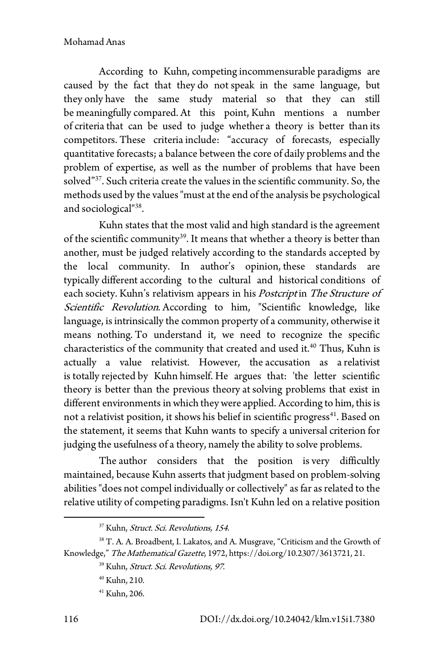According to Kuhn, competing incommensurable paradigms are caused by the fact that they do not speak in the same language, but they only have the same study material so that they can still be meaningfully compared. At this point, Kuhn mentions a number of criteria that can be used to judge whether a theory is better than its competitors. These criteria include: "accuracy of forecasts, especially quantitative forecasts; a balance between the core of daily problems and the problem of expertise, as well as the number of problems that have been solved"<sup>37</sup>. Such criteria create the values in the scientific community. So, the methods used by the values "must at the end of the analysis be psychological and sociological"[38](#page-13-1).

Kuhn states that the most valid and high standard is the agreement of the scientific community<sup>39</sup>. It means that whether a theory is better than another, must be judged relatively according to the standards accepted by the local community. In author's opinion, these standards are typically different according to the cultural and historical conditions of each society. Kuhn's relativism appears in his Postcript in The Structure of Scientific Revolution. According to him, "Scientific knowledge, like language, is intrinsically the common property of a community, otherwise it means nothing. To understand it, we need to recognize the specific characteristics of the community that created and used it. [40](#page-13-3) Thus, Kuhn is actually a value relativist. However, the accusation as a relativist is totally rejected by Kuhn himself. He argues that: 'the letter scientific theory is better than the previous theory atsolving problems that exist in different environments in which they were applied. According to him, this is not a relativist position, it shows his belief in scientific progress<sup>41</sup>. Based on the statement, it seems that Kuhn wants to specify a universal criterion for judging the usefulness of a theory, namely the ability to solve problems.

The author considers that the position is very difficultly maintained, because Kuhn asserts that judgment based on problem-solving abilities "does not compel individually or collectively" as far as related to the relative utility of competing paradigms. Isn't Kuhn led on a relative position

<sup>&</sup>lt;sup>37</sup> Kuhn, Struct. Sci. Revolutions, 154.

<span id="page-13-4"></span><span id="page-13-3"></span><span id="page-13-2"></span><span id="page-13-1"></span><span id="page-13-0"></span><sup>&</sup>lt;sup>38</sup> T. A. A. Broadbent, I. Lakatos, and A. Musgrave, "Criticism and the Growth of Knowledge," The Mathematical Gazette, 1972, https://doi.org/10.2307/3613721, 21.

<sup>&</sup>lt;sup>39</sup> Kuhn, *Struct. Sci. Revolutions*, 97.

<sup>40</sup> Kuhn, 210.

<sup>41</sup> Kuhn, 206.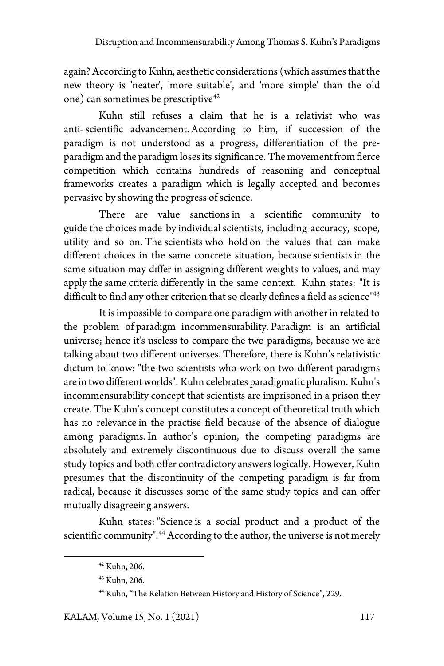again? According to Kuhn, aesthetic considerations (which assumes that the new theory is 'neater', 'more suitable', and 'more simple' than the old one) can sometimes be prescriptive<sup>[42](#page-14-0)</sup>

Kuhn still refuses a claim that he is a relativist who was anti- scientific advancement. According to him, if succession of the paradigm is not understood as a progress, differentiation of the preparadigm and the paradigm loses its significance. The movement from fierce competition which contains hundreds of reasoning and conceptual frameworks creates a paradigm which is legally accepted and becomes pervasive by showing the progress of science.

There are value sanctions in a scientific community to guide the choices made by individual scientists, including accuracy, scope, utility and so on. The scientists who hold on the values that can make different choices in the same concrete situation, because scientists in the same situation may differ in assigning different weights to values, and may apply the same criteria differently in the same context. Kuhn states: "It is difficult to find any other criterion that so clearly defines a field as science<sup>"[43](#page-14-1)</sup>

It is impossible to compare one paradigm with another in related to the problem of paradigm incommensurability. Paradigm is an artificial universe; hence it's useless to compare the two paradigms, because we are talking about two different universes. Therefore, there is Kuhn's relativistic dictum to know: "the two scientists who work on two different paradigms are in two different worlds". Kuhn celebrates paradigmatic pluralism. Kuhn's incommensurability concept that scientists are imprisoned in a prison they create. The Kuhn's concept constitutes a concept of theoretical truth which has no relevance in the practise field because of the absence of dialogue among paradigms. In author's opinion, the competing paradigms are absolutely and extremely discontinuous due to discuss overall the same study topics and both offer contradictory answers logically. However, Kuhn presumes that the discontinuity of the competing paradigm is far from radical, because it discusses some of the same study topics and can offer mutually disagreeing answers.

<span id="page-14-2"></span><span id="page-14-1"></span><span id="page-14-0"></span>Kuhn states: "Science is a social product and a product of the scientific community". [44](#page-14-2) According to the author, the universe is not merely

<sup>42</sup> Kuhn, 206.

<sup>43</sup> Kuhn, 206.

<sup>44</sup> Kuhn, "The Relation Between History and History of Science", 229.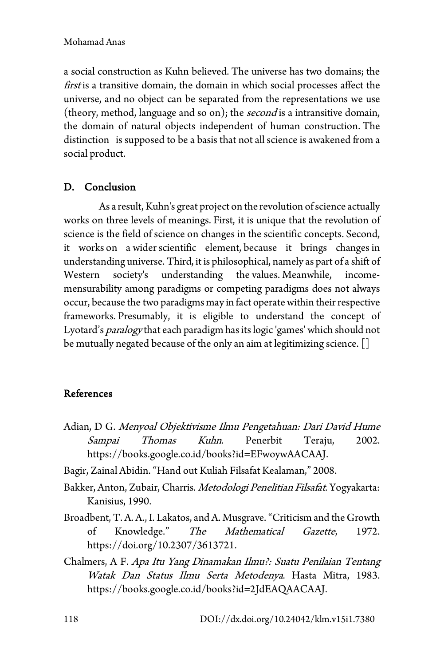### Mohamad Anas

a social construction as Kuhn believed. The universe has two domains; the first is a transitive domain, the domain in which social processes affect the universe, and no object can be separated from the representations we use (theory, method, language and so on); the *second* is a intransitive domain, the domain of natural objects independent of human construction. The distinction is supposed to be a basis that not all science is awakened from a social product.

## D. Conclusion

As a result, Kuhn's great project on the revolution of science actually works on three levels of meanings. First, it is unique that the revolution of science is the field of science on changes in the scientific concepts. Second, it works on a wider scientific element, because it brings changes in understanding universe. Third, it is philosophical, namely as part of a shift of Western society's understanding the values. Meanwhile, incomemensurability among paradigms or competing paradigms does not always occur, because the two paradigms may in fact operate within their respective frameworks. Presumably, it is eligible to understand the concept of Lyotard's *paralogy* that each paradigm has its logic 'games' which should not be mutually negated because of the only an aim at legitimizing science. []

## References

- Adian, D G. Menyoal Objektivisme Ilmu Pengetahuan: Dari David Hume Sampai Thomas Kuhn. Penerbit Teraju, 2002. https://books.google.co.id/books?id=EFwoywAACAAJ.
- Bagir, Zainal Abidin. "Hand out Kuliah Filsafat Kealaman," 2008.
- Bakker, Anton, Zubair, Charris. Metodologi Penelitian Filsafat. Yogyakarta: Kanisius, 1990.
- Broadbent, T. A. A., I. Lakatos, and A. Musgrave."Criticism and the Growth of Knowledge." The Mathematical Gazette, 1972. https://doi.org/10.2307/3613721.
- Chalmers, A F. Apa Itu Yang Dinamakan Ilmu?: Suatu Penilaian Tentang Watak Dan Status Ilmu Serta Metodenya. Hasta Mitra, 1983. https://books.google.co.id/books?id=2JdEAQAACAAJ.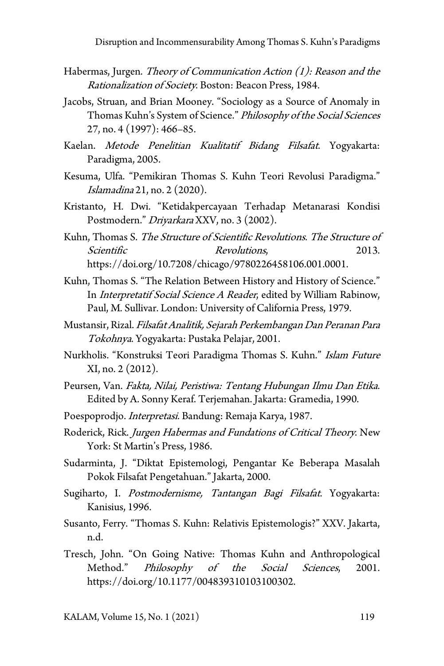- Habermas, Jurgen. Theory of Communication Action  $(1)$ : Reason and the Rationalization of Society. Boston: Beacon Press, 1984.
- Jacobs, Struan, and Brian Mooney. "Sociology as a Source of Anomaly in Thomas Kuhn's System of Science." Philosophy of the Social Sciences 27, no. 4 (1997): 466–85.
- Kaelan. Metode Penelitian Kualitatif Bidang Filsafat. Yogyakarta: Paradigma, 2005.
- Kesuma, Ulfa. "Pemikiran Thomas S. Kuhn Teori Revolusi Paradigma." Islamadina 21, no. 2 (2020).
- Kristanto, H. Dwi. "Ketidakpercayaan Terhadap Metanarasi Kondisi Postmodern." *Driyarkara* XXV, no. 3 (2002).
- Kuhn, Thomas S. The Structure of Scientific Revolutions. The Structure of Scientific Revolutions. 2013. https://doi.org/10.7208/chicago/9780226458106.001.0001.
- Kuhn, Thomas S. "The Relation Between History and History of Science." In Interpretatif Social Science A Reader, edited by William Rabinow, Paul, M. Sullivar. London: University of California Press, 1979.
- Mustansir, Rizal. Filsafat Analitik, Sejarah Perkembangan Dan Peranan Para Tokohnya. Yogyakarta: Pustaka Pelajar, 2001.
- Nurkholis. "Konstruksi Teori Paradigma Thomas S. Kuhn." Islam Future XI, no. 2 (2012).
- Peursen, Van. Fakta, Nilai, Peristiwa: Tentang Hubungan Ilmu Dan Etika. Edited by A. Sonny Keraf. Terjemahan. Jakarta: Gramedia, 1990.
- Poespoprodjo. Interpretasi. Bandung: Remaja Karya, 1987.
- Roderick, Rick. Jurgen Habermas and Fundations of Critical Theory. New York: St Martin's Press, 1986.
- Sudarminta, J. "Diktat Epistemologi, Pengantar Ke Beberapa Masalah Pokok Filsafat Pengetahuan." Jakarta, 2000.
- Sugiharto, I. Postmodernisme, Tantangan Bagi Filsafat. Yogyakarta: Kanisius, 1996.
- Susanto, Ferry. "Thomas S. Kuhn: Relativis Epistemologis?" XXV. Jakarta, n.d.
- Tresch, John. "On Going Native: Thomas Kuhn and Anthropological Method." Philosophy of the Social Sciences, 2001. https://doi.org/10.1177/004839310103100302.